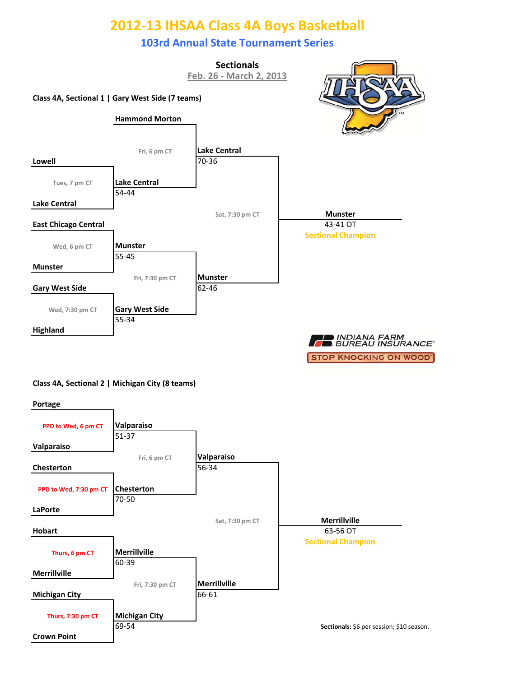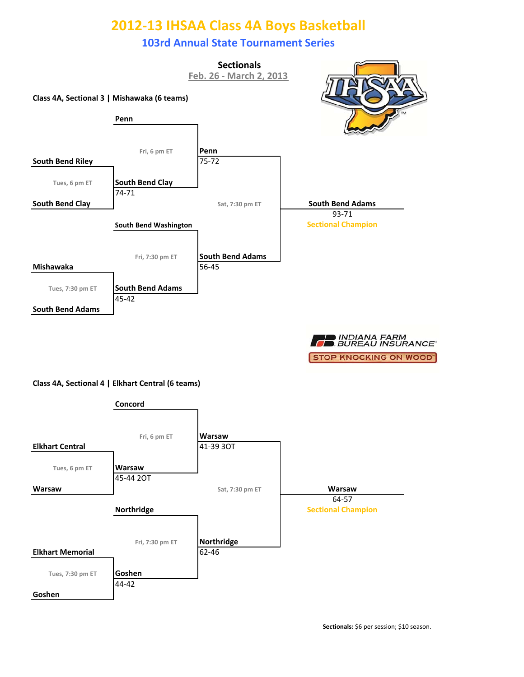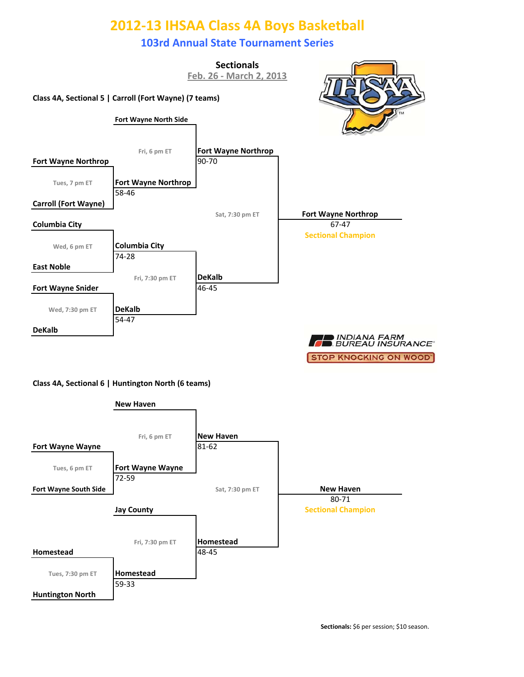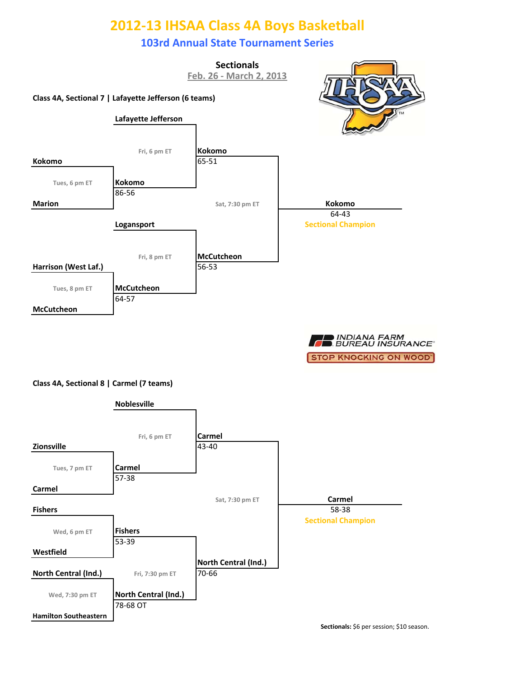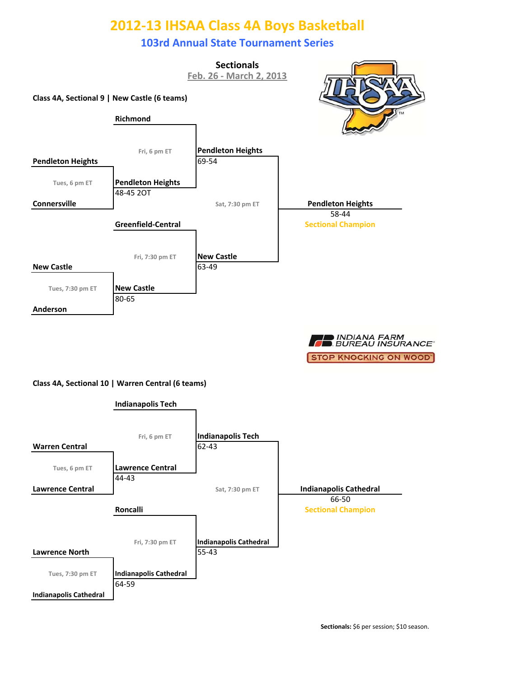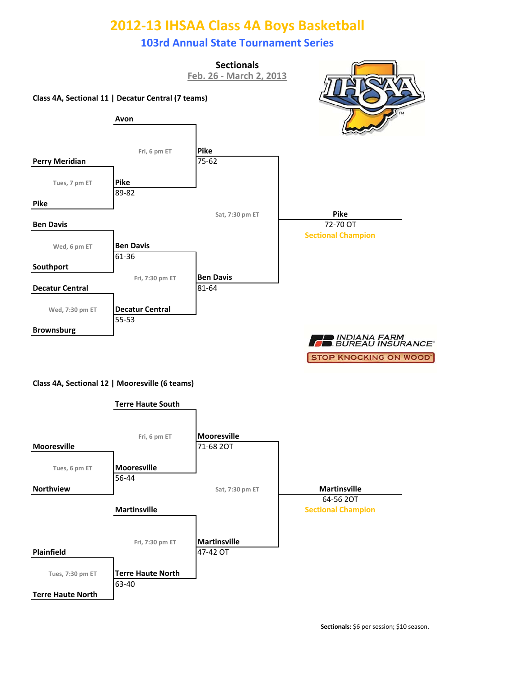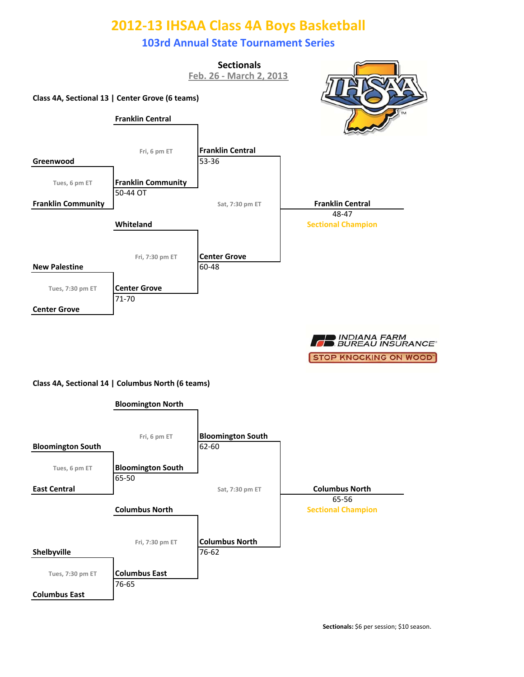